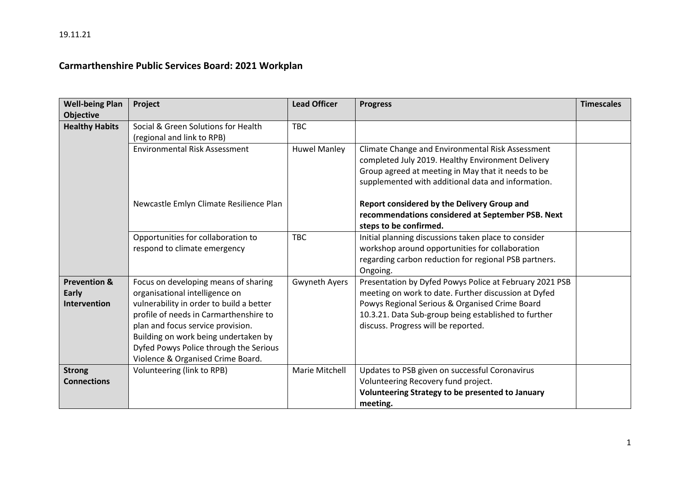## **Carmarthenshire Public Services Board: 2021 Workplan**

| <b>Well-being Plan</b>  | Project                                  | <b>Lead Officer</b>  | <b>Progress</b>                                         | <b>Timescales</b> |
|-------------------------|------------------------------------------|----------------------|---------------------------------------------------------|-------------------|
| <b>Objective</b>        |                                          |                      |                                                         |                   |
| <b>Healthy Habits</b>   | Social & Green Solutions for Health      | <b>TBC</b>           |                                                         |                   |
|                         | (regional and link to RPB)               |                      |                                                         |                   |
|                         | <b>Environmental Risk Assessment</b>     | <b>Huwel Manley</b>  | Climate Change and Environmental Risk Assessment        |                   |
|                         |                                          |                      | completed July 2019. Healthy Environment Delivery       |                   |
|                         |                                          |                      | Group agreed at meeting in May that it needs to be      |                   |
|                         |                                          |                      | supplemented with additional data and information.      |                   |
|                         | Newcastle Emlyn Climate Resilience Plan  |                      | Report considered by the Delivery Group and             |                   |
|                         |                                          |                      | recommendations considered at September PSB. Next       |                   |
|                         |                                          |                      | steps to be confirmed.                                  |                   |
|                         | Opportunities for collaboration to       | <b>TBC</b>           | Initial planning discussions taken place to consider    |                   |
|                         | respond to climate emergency             |                      | workshop around opportunities for collaboration         |                   |
|                         |                                          |                      | regarding carbon reduction for regional PSB partners.   |                   |
|                         |                                          |                      | Ongoing.                                                |                   |
| <b>Prevention &amp;</b> | Focus on developing means of sharing     | <b>Gwyneth Ayers</b> | Presentation by Dyfed Powys Police at February 2021 PSB |                   |
| Early                   | organisational intelligence on           |                      | meeting on work to date. Further discussion at Dyfed    |                   |
| <b>Intervention</b>     | vulnerability in order to build a better |                      | Powys Regional Serious & Organised Crime Board          |                   |
|                         | profile of needs in Carmarthenshire to   |                      | 10.3.21. Data Sub-group being established to further    |                   |
|                         | plan and focus service provision.        |                      | discuss. Progress will be reported.                     |                   |
|                         | Building on work being undertaken by     |                      |                                                         |                   |
|                         | Dyfed Powys Police through the Serious   |                      |                                                         |                   |
|                         | Violence & Organised Crime Board.        |                      |                                                         |                   |
| <b>Strong</b>           | Volunteering (link to RPB)               | Marie Mitchell       | Updates to PSB given on successful Coronavirus          |                   |
| <b>Connections</b>      |                                          |                      | Volunteering Recovery fund project.                     |                   |
|                         |                                          |                      | Volunteering Strategy to be presented to January        |                   |
|                         |                                          |                      | meeting.                                                |                   |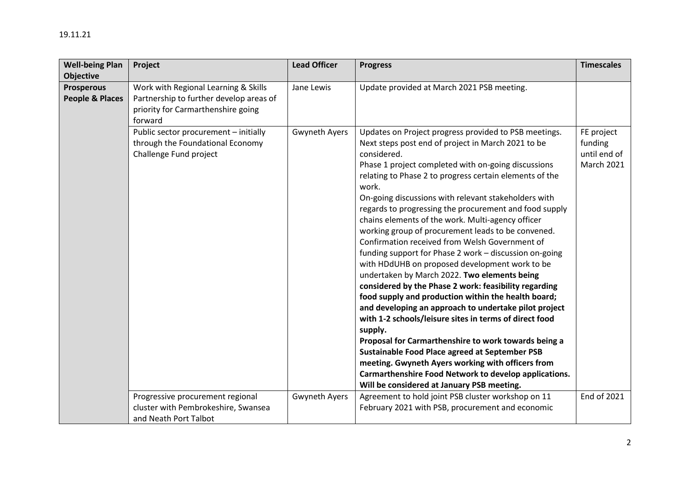| <b>Well-being Plan</b>                          | Project                                                                                                                          | <b>Lead Officer</b>  | <b>Progress</b>                                                                                                                                                                                                                                                                                                                                                                                                                                                                                                                                                                                                                                                                                                                                                                                                                                                                                                                                                                                                                                                                                                                                                                                                      | <b>Timescales</b>                                          |
|-------------------------------------------------|----------------------------------------------------------------------------------------------------------------------------------|----------------------|----------------------------------------------------------------------------------------------------------------------------------------------------------------------------------------------------------------------------------------------------------------------------------------------------------------------------------------------------------------------------------------------------------------------------------------------------------------------------------------------------------------------------------------------------------------------------------------------------------------------------------------------------------------------------------------------------------------------------------------------------------------------------------------------------------------------------------------------------------------------------------------------------------------------------------------------------------------------------------------------------------------------------------------------------------------------------------------------------------------------------------------------------------------------------------------------------------------------|------------------------------------------------------------|
| <b>Objective</b>                                |                                                                                                                                  |                      |                                                                                                                                                                                                                                                                                                                                                                                                                                                                                                                                                                                                                                                                                                                                                                                                                                                                                                                                                                                                                                                                                                                                                                                                                      |                                                            |
| <b>Prosperous</b><br><b>People &amp; Places</b> | Work with Regional Learning & Skills<br>Partnership to further develop areas of<br>priority for Carmarthenshire going<br>forward | Jane Lewis           | Update provided at March 2021 PSB meeting.                                                                                                                                                                                                                                                                                                                                                                                                                                                                                                                                                                                                                                                                                                                                                                                                                                                                                                                                                                                                                                                                                                                                                                           |                                                            |
|                                                 | Public sector procurement - initially<br>through the Foundational Economy<br>Challenge Fund project                              | <b>Gwyneth Ayers</b> | Updates on Project progress provided to PSB meetings.<br>Next steps post end of project in March 2021 to be<br>considered.<br>Phase 1 project completed with on-going discussions<br>relating to Phase 2 to progress certain elements of the<br>work.<br>On-going discussions with relevant stakeholders with<br>regards to progressing the procurement and food supply<br>chains elements of the work. Multi-agency officer<br>working group of procurement leads to be convened.<br>Confirmation received from Welsh Government of<br>funding support for Phase 2 work - discussion on-going<br>with HDdUHB on proposed development work to be<br>undertaken by March 2022. Two elements being<br>considered by the Phase 2 work: feasibility regarding<br>food supply and production within the health board;<br>and developing an approach to undertake pilot project<br>with 1-2 schools/leisure sites in terms of direct food<br>supply.<br>Proposal for Carmarthenshire to work towards being a<br>Sustainable Food Place agreed at September PSB<br>meeting. Gwyneth Ayers working with officers from<br>Carmarthenshire Food Network to develop applications.<br>Will be considered at January PSB meeting. | FE project<br>funding<br>until end of<br><b>March 2021</b> |
|                                                 | Progressive procurement regional                                                                                                 | Gwyneth Ayers        | Agreement to hold joint PSB cluster workshop on 11                                                                                                                                                                                                                                                                                                                                                                                                                                                                                                                                                                                                                                                                                                                                                                                                                                                                                                                                                                                                                                                                                                                                                                   | <b>End of 2021</b>                                         |
|                                                 | cluster with Pembrokeshire, Swansea                                                                                              |                      | February 2021 with PSB, procurement and economic                                                                                                                                                                                                                                                                                                                                                                                                                                                                                                                                                                                                                                                                                                                                                                                                                                                                                                                                                                                                                                                                                                                                                                     |                                                            |
|                                                 | and Neath Port Talbot                                                                                                            |                      |                                                                                                                                                                                                                                                                                                                                                                                                                                                                                                                                                                                                                                                                                                                                                                                                                                                                                                                                                                                                                                                                                                                                                                                                                      |                                                            |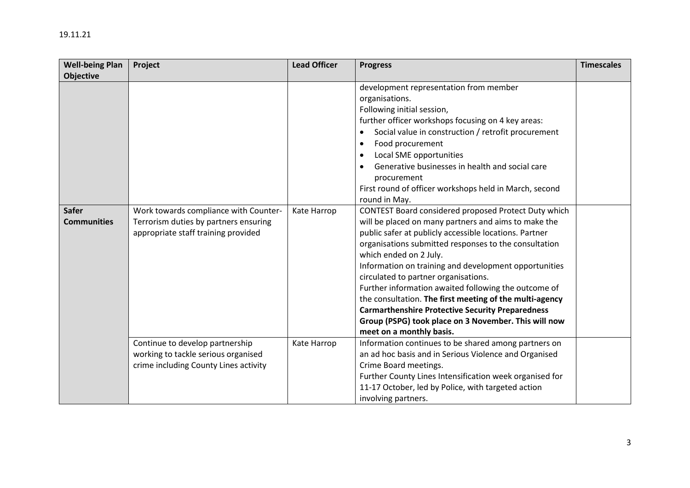| <b>Well-being Plan</b><br><b>Objective</b> | Project                                                                                                               | <b>Lead Officer</b> | <b>Progress</b>                                                                                                                                                                                                                                                                                                                                                                                                                                                                                                                                                                                                                                                                                                                                                                                                                                 | <b>Timescales</b> |
|--------------------------------------------|-----------------------------------------------------------------------------------------------------------------------|---------------------|-------------------------------------------------------------------------------------------------------------------------------------------------------------------------------------------------------------------------------------------------------------------------------------------------------------------------------------------------------------------------------------------------------------------------------------------------------------------------------------------------------------------------------------------------------------------------------------------------------------------------------------------------------------------------------------------------------------------------------------------------------------------------------------------------------------------------------------------------|-------------------|
| <b>Safer</b><br><b>Communities</b>         | Work towards compliance with Counter-<br>Terrorism duties by partners ensuring<br>appropriate staff training provided | Kate Harrop         | development representation from member<br>organisations.<br>Following initial session,<br>further officer workshops focusing on 4 key areas:<br>Social value in construction / retrofit procurement<br>Food procurement<br>$\bullet$<br>Local SME opportunities<br>$\bullet$<br>Generative businesses in health and social care<br>procurement<br>First round of officer workshops held in March, second<br>round in May.<br>CONTEST Board considered proposed Protect Duty which<br>will be placed on many partners and aims to make the<br>public safer at publicly accessible locations. Partner<br>organisations submitted responses to the consultation<br>which ended on 2 July.<br>Information on training and development opportunities<br>circulated to partner organisations.<br>Further information awaited following the outcome of |                   |
|                                            |                                                                                                                       |                     | the consultation. The first meeting of the multi-agency<br><b>Carmarthenshire Protective Security Preparedness</b><br>Group (PSPG) took place on 3 November. This will now<br>meet on a monthly basis.                                                                                                                                                                                                                                                                                                                                                                                                                                                                                                                                                                                                                                          |                   |
|                                            | Continue to develop partnership<br>working to tackle serious organised<br>crime including County Lines activity       | Kate Harrop         | Information continues to be shared among partners on<br>an ad hoc basis and in Serious Violence and Organised<br>Crime Board meetings.<br>Further County Lines Intensification week organised for<br>11-17 October, led by Police, with targeted action                                                                                                                                                                                                                                                                                                                                                                                                                                                                                                                                                                                         |                   |

involving partners.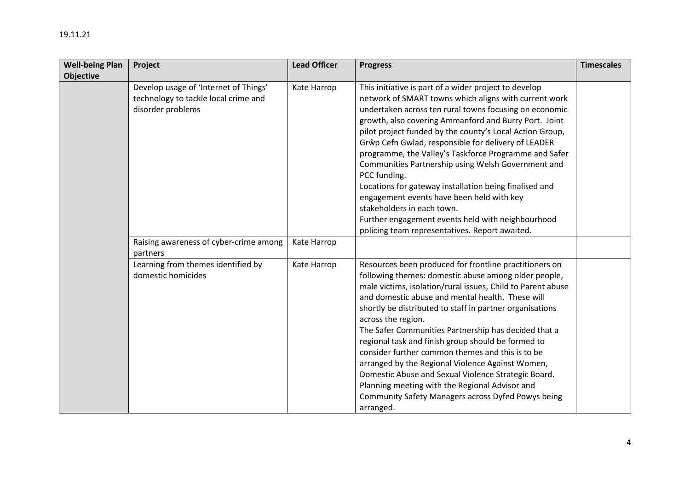| <b>Well-being Plan</b> | Project                                | <b>Lead Officer</b> | <b>Progress</b>                                             | <b>Timescales</b> |
|------------------------|----------------------------------------|---------------------|-------------------------------------------------------------|-------------------|
| Objective              |                                        |                     |                                                             |                   |
|                        | Develop usage of 'Internet of Things'  | Kate Harrop         | This initiative is part of a wider project to develop       |                   |
|                        | technology to tackle local crime and   |                     | network of SMART towns which aligns with current work       |                   |
|                        | disorder problems                      |                     | undertaken across ten rural towns focusing on economic      |                   |
|                        |                                        |                     | growth, also covering Ammanford and Burry Port. Joint       |                   |
|                        |                                        |                     | pilot project funded by the county's Local Action Group,    |                   |
|                        |                                        |                     | Grŵp Cefn Gwlad, responsible for delivery of LEADER         |                   |
|                        |                                        |                     | programme, the Valley's Taskforce Programme and Safer       |                   |
|                        |                                        |                     | Communities Partnership using Welsh Government and          |                   |
|                        |                                        |                     | PCC funding.                                                |                   |
|                        |                                        |                     | Locations for gateway installation being finalised and      |                   |
|                        |                                        |                     | engagement events have been held with key                   |                   |
|                        |                                        |                     | stakeholders in each town.                                  |                   |
|                        |                                        |                     | Further engagement events held with neighbourhood           |                   |
|                        |                                        |                     | policing team representatives. Report awaited.              |                   |
|                        | Raising awareness of cyber-crime among | Kate Harrop         |                                                             |                   |
|                        | partners                               |                     |                                                             |                   |
|                        | Learning from themes identified by     | Kate Harrop         | Resources been produced for frontline practitioners on      |                   |
|                        | domestic homicides                     |                     | following themes: domestic abuse among older people,        |                   |
|                        |                                        |                     | male victims, isolation/rural issues, Child to Parent abuse |                   |
|                        |                                        |                     | and domestic abuse and mental health. These will            |                   |
|                        |                                        |                     | shortly be distributed to staff in partner organisations    |                   |
|                        |                                        |                     | across the region.                                          |                   |
|                        |                                        |                     | The Safer Communities Partnership has decided that a        |                   |
|                        |                                        |                     | regional task and finish group should be formed to          |                   |
|                        |                                        |                     | consider further common themes and this is to be            |                   |
|                        |                                        |                     | arranged by the Regional Violence Against Women,            |                   |
|                        |                                        |                     | Domestic Abuse and Sexual Violence Strategic Board.         |                   |
|                        |                                        |                     | Planning meeting with the Regional Advisor and              |                   |
|                        |                                        |                     | Community Safety Managers across Dyfed Powys being          |                   |
|                        |                                        |                     | arranged.                                                   |                   |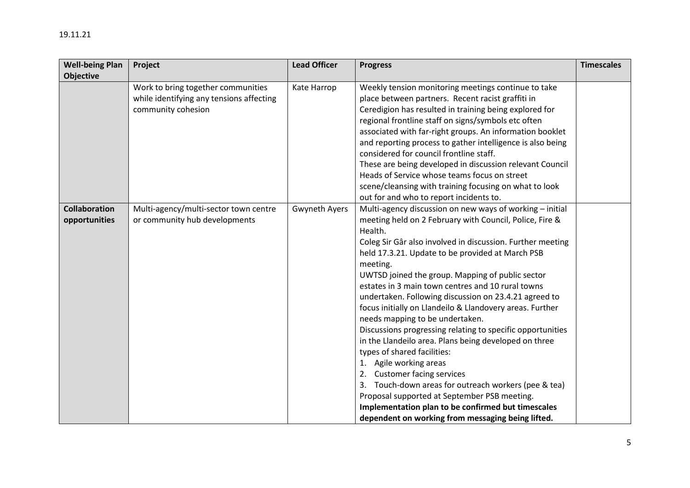| <b>Well-being Plan</b> | Project                                  | <b>Lead Officer</b> | <b>Progress</b>                                            | <b>Timescales</b> |
|------------------------|------------------------------------------|---------------------|------------------------------------------------------------|-------------------|
| <b>Objective</b>       |                                          |                     |                                                            |                   |
|                        | Work to bring together communities       | Kate Harrop         | Weekly tension monitoring meetings continue to take        |                   |
|                        | while identifying any tensions affecting |                     | place between partners. Recent racist graffiti in          |                   |
|                        | community cohesion                       |                     | Ceredigion has resulted in training being explored for     |                   |
|                        |                                          |                     | regional frontline staff on signs/symbols etc often        |                   |
|                        |                                          |                     | associated with far-right groups. An information booklet   |                   |
|                        |                                          |                     | and reporting process to gather intelligence is also being |                   |
|                        |                                          |                     | considered for council frontline staff.                    |                   |
|                        |                                          |                     | These are being developed in discussion relevant Council   |                   |
|                        |                                          |                     | Heads of Service whose teams focus on street               |                   |
|                        |                                          |                     | scene/cleansing with training focusing on what to look     |                   |
|                        |                                          |                     | out for and who to report incidents to.                    |                   |
| <b>Collaboration</b>   | Multi-agency/multi-sector town centre    | Gwyneth Ayers       | Multi-agency discussion on new ways of working - initial   |                   |
| opportunities          | or community hub developments            |                     | meeting held on 2 February with Council, Police, Fire &    |                   |
|                        |                                          |                     | Health.                                                    |                   |
|                        |                                          |                     | Coleg Sir Gâr also involved in discussion. Further meeting |                   |
|                        |                                          |                     | held 17.3.21. Update to be provided at March PSB           |                   |
|                        |                                          |                     | meeting.                                                   |                   |
|                        |                                          |                     | UWTSD joined the group. Mapping of public sector           |                   |
|                        |                                          |                     | estates in 3 main town centres and 10 rural towns          |                   |
|                        |                                          |                     | undertaken. Following discussion on 23.4.21 agreed to      |                   |
|                        |                                          |                     | focus initially on Llandeilo & Llandovery areas. Further   |                   |
|                        |                                          |                     | needs mapping to be undertaken.                            |                   |
|                        |                                          |                     | Discussions progressing relating to specific opportunities |                   |
|                        |                                          |                     | in the Llandeilo area. Plans being developed on three      |                   |
|                        |                                          |                     | types of shared facilities:                                |                   |
|                        |                                          |                     | 1. Agile working areas                                     |                   |
|                        |                                          |                     | 2. Customer facing services                                |                   |
|                        |                                          |                     | 3. Touch-down areas for outreach workers (pee & tea)       |                   |
|                        |                                          |                     | Proposal supported at September PSB meeting.               |                   |
|                        |                                          |                     | Implementation plan to be confirmed but timescales         |                   |
|                        |                                          |                     | dependent on working from messaging being lifted.          |                   |